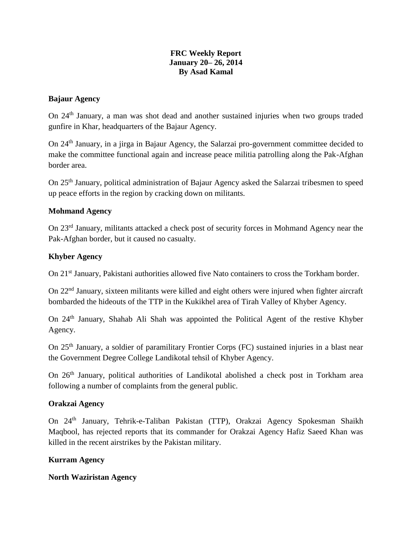### **FRC Weekly Report January 20– 26, 2014 By Asad Kamal**

### **Bajaur Agency**

On 24th January, a man was shot dead and another sustained injuries when two groups traded gunfire in Khar, headquarters of the Bajaur Agency.

On 24th January, in a jirga in Bajaur Agency, the Salarzai pro-government committee decided to make the committee functional again and increase peace militia patrolling along the Pak-Afghan border area.

On 25th January, political administration of Bajaur Agency asked the Salarzai tribesmen to speed up peace efforts in the region by cracking down on militants.

# **Mohmand Agency**

On 23rd January, militants attacked a check post of security forces in Mohmand Agency near the Pak-Afghan border, but it caused no casualty.

### **Khyber Agency**

On 21<sup>st</sup> January, Pakistani authorities allowed five Nato containers to cross the Torkham border.

On 22nd January, sixteen militants were killed and eight others were injured when fighter aircraft bombarded the hideouts of the TTP in the Kukikhel area of Tirah Valley of Khyber Agency.

On 24th January, Shahab Ali Shah was appointed the Political Agent of the restive Khyber Agency.

On 25th January, a soldier of paramilitary Frontier Corps (FC) sustained injuries in a blast near the Government Degree College Landikotal tehsil of Khyber Agency.

On 26th January, political authorities of Landikotal abolished a check post in Torkham area following a number of complaints from the general public.

#### **Orakzai Agency**

On 24th January, Tehrik-e-Taliban Pakistan (TTP), Orakzai Agency Spokesman Shaikh Maqbool, has rejected reports that its commander for Orakzai Agency Hafiz Saeed Khan was killed in the recent airstrikes by the Pakistan military.

# **Kurram Agency**

# **North Waziristan Agency**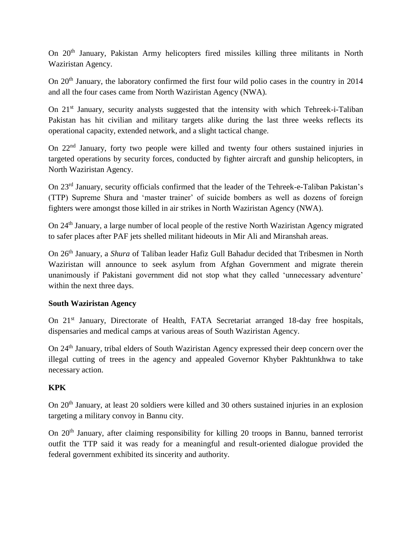On 20th January, Pakistan Army helicopters fired missiles killing three militants in North Waziristan Agency.

On 20<sup>th</sup> January, the laboratory confirmed the first four wild polio cases in the country in 2014 and all the four cases came from North Waziristan Agency (NWA).

On 21<sup>st</sup> January, security analysts suggested that the intensity with which Tehreek-i-Taliban Pakistan has hit civilian and military targets alike during the last three weeks reflects its operational capacity, extended network, and a slight tactical change.

On 22<sup>nd</sup> January, forty two people were killed and twenty four others sustained injuries in targeted operations by security forces, conducted by fighter aircraft and gunship helicopters, in North Waziristan Agency.

On 23rd January, security officials confirmed that the leader of the Tehreek-e-Taliban Pakistan's (TTP) Supreme Shura and 'master trainer' of suicide bombers as well as dozens of foreign fighters were amongst those killed in air strikes in North Waziristan Agency (NWA).

On 24th January, a large number of local people of the restive North Waziristan Agency migrated to safer places after PAF jets shelled militant hideouts in Mir Ali and Miranshah areas.

On 26th January, a *Shura* of Taliban leader Hafiz Gull Bahadur decided that Tribesmen in North Waziristan will announce to seek asylum from Afghan Government and migrate therein unanimously if Pakistani government did not stop what they called 'unnecessary adventure' within the next three days.

# **South Waziristan Agency**

On 21<sup>st</sup> January, Directorate of Health, FATA Secretariat arranged 18-day free hospitals, dispensaries and medical camps at various areas of South Waziristan Agency.

On 24th January, tribal elders of South Waziristan Agency expressed their deep concern over the illegal cutting of trees in the agency and appealed Governor Khyber Pakhtunkhwa to take necessary action.

# **KPK**

On 20<sup>th</sup> January, at least 20 soldiers were killed and 30 others sustained injuries in an explosion targeting a military convoy in Bannu city.

On 20<sup>th</sup> January, after claiming responsibility for killing 20 troops in Bannu, banned terrorist outfit the TTP said it was ready for a meaningful and result-oriented dialogue provided the federal government exhibited its sincerity and authority.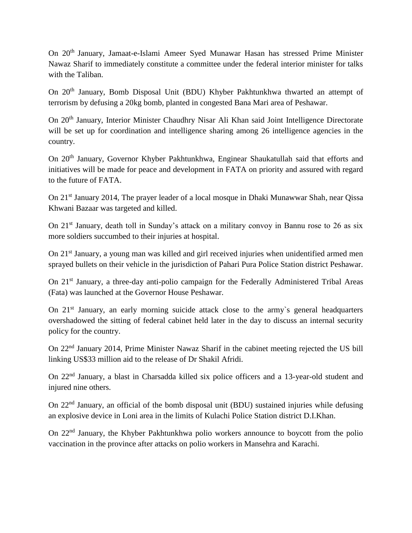On 20th January, Jamaat-e-Islami Ameer Syed Munawar Hasan has stressed Prime Minister Nawaz Sharif to immediately constitute a committee under the federal interior minister for talks with the Taliban.

On 20<sup>th</sup> January, Bomb Disposal Unit (BDU) Khyber Pakhtunkhwa thwarted an attempt of terrorism by defusing a 20kg bomb, planted in congested Bana Mari area of Peshawar.

On 20th January, Interior Minister Chaudhry Nisar Ali Khan said Joint Intelligence Directorate will be set up for coordination and intelligence sharing among 26 intelligence agencies in the country.

On 20<sup>th</sup> January, Governor Khyber Pakhtunkhwa, Enginear Shaukatullah said that efforts and initiatives will be made for peace and development in FATA on priority and assured with regard to the future of FATA.

On 21st January 2014, The prayer leader of a local mosque in Dhaki Munawwar Shah, near Qissa Khwani Bazaar was targeted and killed.

On 21<sup>st</sup> January, death toll in Sunday's attack on a military convoy in Bannu rose to 26 as six more soldiers succumbed to their injuries at hospital.

On 21<sup>st</sup> January, a young man was killed and girl received injuries when unidentified armed men sprayed bullets on their vehicle in the jurisdiction of Pahari Pura Police Station district Peshawar.

On 21<sup>st</sup> January, a three-day anti-polio campaign for the Federally Administered Tribal Areas (Fata) was launched at the Governor House Peshawar.

On  $21<sup>st</sup>$  January, an early morning suicide attack close to the army's general headquarters overshadowed the sitting of federal cabinet held later in the day to discuss an internal security policy for the country.

On 22nd January 2014, Prime Minister Nawaz Sharif in the cabinet meeting rejected the US bill linking US\$33 million aid to the release of Dr Shakil Afridi.

On 22nd January, a blast in Charsadda killed six police officers and a 13-year-old student and injured nine others.

On 22nd January, an official of the bomb disposal unit (BDU) sustained injuries while defusing an explosive device in Loni area in the limits of Kulachi Police Station district D.I.Khan.

On 22nd January, the Khyber Pakhtunkhwa polio workers announce to boycott from the polio vaccination in the province after attacks on polio workers in Mansehra and Karachi.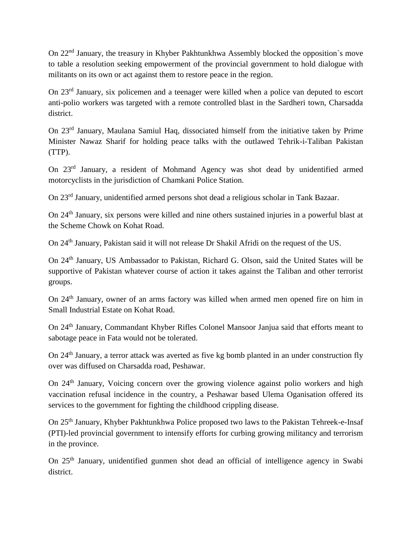On 22nd January, the treasury in Khyber Pakhtunkhwa Assembly blocked the opposition`s move to table a resolution seeking empowerment of the provincial government to hold dialogue with militants on its own or act against them to restore peace in the region.

On 23rd January, six policemen and a teenager were killed when a police van deputed to escort anti-polio workers was targeted with a remote controlled blast in the Sardheri town, Charsadda district.

On 23rd January, Maulana Samiul Haq, dissociated himself from the initiative taken by Prime Minister Nawaz Sharif for holding peace talks with the outlawed Tehrik-i-Taliban Pakistan (TTP).

On 23rd January, a resident of Mohmand Agency was shot dead by unidentified armed motorcyclists in the jurisdiction of Chamkani Police Station.

On 23rd January, unidentified armed persons shot dead a religious scholar in Tank Bazaar.

On 24<sup>th</sup> January, six persons were killed and nine others sustained injuries in a powerful blast at the Scheme Chowk on Kohat Road.

On 24<sup>th</sup> January, Pakistan said it will not release Dr Shakil Afridi on the request of the US.

On 24th January, US Ambassador to Pakistan, Richard G. Olson, said the United States will be supportive of Pakistan whatever course of action it takes against the Taliban and other terrorist groups.

On 24th January, owner of an arms factory was killed when armed men opened fire on him in Small Industrial Estate on Kohat Road.

On 24th January, Commandant Khyber Rifles Colonel Mansoor Janjua said that efforts meant to sabotage peace in Fata would not be tolerated.

On 24<sup>th</sup> January, a terror attack was averted as five kg bomb planted in an under construction fly over was diffused on Charsadda road, Peshawar.

On  $24<sup>th</sup>$  January, Voicing concern over the growing violence against polio workers and high vaccination refusal incidence in the country, a Peshawar based Ulema Oganisation offered its services to the government for fighting the childhood crippling disease.

On 25th January, Khyber Pakhtunkhwa Police proposed two laws to the Pakistan Tehreek-e-Insaf (PTI)-led provincial government to intensify efforts for curbing growing militancy and terrorism in the province.

On 25<sup>th</sup> January, unidentified gunmen shot dead an official of intelligence agency in Swabi district.